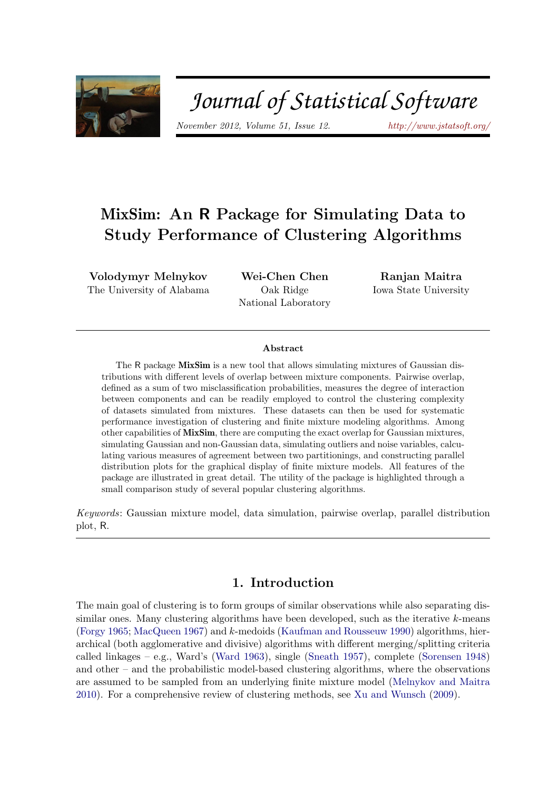

# Journal of Statistical Software

November 2012, Volume 51, Issue 12. <http://www.jstatsoft.org/>

# MixSim: An R Package for Simulating Data to Study Performance of Clustering Algorithms

Volodymyr Melnykov The University of Alabama

Wei-Chen Chen Oak Ridge National Laboratory

Ranjan Maitra Iowa State University

#### Abstract

The R package MixSim is a new tool that allows simulating mixtures of Gaussian distributions with different levels of overlap between mixture components. Pairwise overlap, defined as a sum of two misclassification probabilities, measures the degree of interaction between components and can be readily employed to control the clustering complexity of datasets simulated from mixtures. These datasets can then be used for systematic performance investigation of clustering and finite mixture modeling algorithms. Among other capabilities of MixSim, there are computing the exact overlap for Gaussian mixtures, simulating Gaussian and non-Gaussian data, simulating outliers and noise variables, calculating various measures of agreement between two partitionings, and constructing parallel distribution plots for the graphical display of finite mixture models. All features of the package are illustrated in great detail. The utility of the package is highlighted through a small comparison study of several popular clustering algorithms.

Keywords: Gaussian mixture model, data simulation, pairwise overlap, parallel distribution plot, R.

# 1. Introduction

<span id="page-0-0"></span>The main goal of clustering is to form groups of similar observations while also separating dissimilar ones. Many clustering algorithms have been developed, such as the iterative  $k$ -means [\(Forgy](#page-22-0) [1965;](#page-22-0) [MacQueen](#page-22-1) [1967\)](#page-22-1) and k-medoids [\(Kaufman and Rousseuw](#page-22-2) [1990\)](#page-22-2) algorithms, hierarchical (both agglomerative and divisive) algorithms with different merging/splitting criteria called linkages – e.g., Ward's [\(Ward](#page-23-0) [1963\)](#page-23-0), single [\(Sneath](#page-23-1) [1957\)](#page-23-1), complete [\(Sorensen](#page-23-2) [1948\)](#page-23-2) and other – and the probabilistic model-based clustering algorithms, where the observations are assumed to be sampled from an underlying finite mixture model [\(Melnykov and Maitra](#page-23-3) [2010\)](#page-23-3). For a comprehensive review of clustering methods, see [Xu and Wunsch](#page-23-4) [\(2009\)](#page-23-4).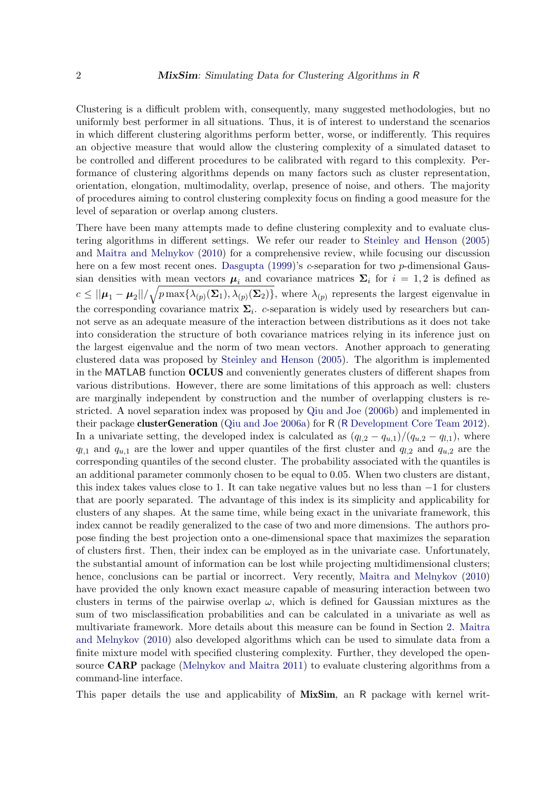Clustering is a difficult problem with, consequently, many suggested methodologies, but no uniformly best performer in all situations. Thus, it is of interest to understand the scenarios in which different clustering algorithms perform better, worse, or indifferently. This requires an objective measure that would allow the clustering complexity of a simulated dataset to be controlled and different procedures to be calibrated with regard to this complexity. Performance of clustering algorithms depends on many factors such as cluster representation, orientation, elongation, multimodality, overlap, presence of noise, and others. The majority of procedures aiming to control clustering complexity focus on finding a good measure for the level of separation or overlap among clusters.

There have been many attempts made to define clustering complexity and to evaluate clustering algorithms in different settings. We refer our reader to [Steinley and Henson](#page-23-5) [\(2005\)](#page-23-5) and [Maitra and Melnykov](#page-22-3) [\(2010\)](#page-22-3) for a comprehensive review, while focusing our discussion here on a few most recent ones. [Dasgupta](#page-22-4) [\(1999\)](#page-22-4)'s c-separation for two p-dimensional Gaussian densities with mean vectors  $\mu_i$  and covariance matrices  $\Sigma_i$  for  $i = 1, 2$  is defined as  $c \leq ||\mu_1 - \mu_2|| / \sqrt{p \max\{\lambda_{(p)}(\Sigma_1), \lambda_{(p)}(\Sigma_2)\}}$ , where  $\lambda_{(p)}$  represents the largest eigenvalue in the corresponding covariance matrix  $\Sigma_i$ . c-separation is widely used by researchers but cannot serve as an adequate measure of the interaction between distributions as it does not take into consideration the structure of both covariance matrices relying in its inference just on the largest eigenvalue and the norm of two mean vectors. Another approach to generating clustered data was proposed by [Steinley and Henson](#page-23-5) [\(2005\)](#page-23-5). The algorithm is implemented in the MATLAB function OCLUS and conveniently generates clusters of different shapes from various distributions. However, there are some limitations of this approach as well: clusters are marginally independent by construction and the number of overlapping clusters is restricted. A novel separation index was proposed by [Qiu and Joe](#page-23-6) [\(2006b\)](#page-23-6) and implemented in their package clusterGeneration [\(Qiu and Joe](#page-23-7) [2006a\)](#page-23-7) for R (R [Development Core Team](#page-23-8) [2012\)](#page-23-8). In a univariate setting, the developed index is calculated as  $(q_{l,2} - q_{u,1})/(q_{u,2} - q_{l,1})$ , where  $q_{l,1}$  and  $q_{u,1}$  are the lower and upper quantiles of the first cluster and  $q_{l,2}$  and  $q_{u,2}$  are the corresponding quantiles of the second cluster. The probability associated with the quantiles is an additional parameter commonly chosen to be equal to 0.05. When two clusters are distant, this index takes values close to 1. It can take negative values but no less than −1 for clusters that are poorly separated. The advantage of this index is its simplicity and applicability for clusters of any shapes. At the same time, while being exact in the univariate framework, this index cannot be readily generalized to the case of two and more dimensions. The authors propose finding the best projection onto a one-dimensional space that maximizes the separation of clusters first. Then, their index can be employed as in the univariate case. Unfortunately, the substantial amount of information can be lost while projecting multidimensional clusters; hence, conclusions can be partial or incorrect. Very recently, [Maitra and Melnykov](#page-22-3) [\(2010\)](#page-22-3) have provided the only known exact measure capable of measuring interaction between two clusters in terms of the pairwise overlap  $\omega$ , which is defined for Gaussian mixtures as the sum of two misclassification probabilities and can be calculated in a univariate as well as multivariate framework. More details about this measure can be found in Section [2.](#page-2-0) [Maitra](#page-22-3) [and Melnykov](#page-22-3) [\(2010\)](#page-22-3) also developed algorithms which can be used to simulate data from a finite mixture model with specified clustering complexity. Further, they developed the opensource **CARP** package [\(Melnykov and Maitra](#page-23-9) [2011\)](#page-23-9) to evaluate clustering algorithms from a command-line interface.

This paper details the use and applicability of MixSim, an R package with kernel writ-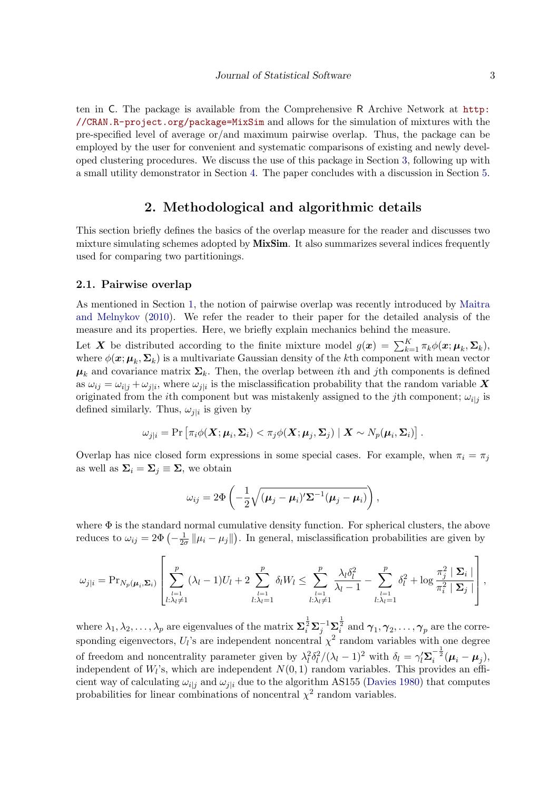ten in C. The package is available from the Comprehensive R Archive Network at [http:](http://CRAN.R-project.org/package=MixSim) [//CRAN.R-project.org/package=MixSim](http://CRAN.R-project.org/package=MixSim) and allows for the simulation of mixtures with the pre-specified level of average or/and maximum pairwise overlap. Thus, the package can be employed by the user for convenient and systematic comparisons of existing and newly developed clustering procedures. We discuss the use of this package in Section [3,](#page-6-0) following up with a small utility demonstrator in Section [4.](#page-20-0) The paper concludes with a discussion in Section [5.](#page-21-0)

# 2. Methodological and algorithmic details

<span id="page-2-0"></span>This section briefly defines the basics of the overlap measure for the reader and discusses two mixture simulating schemes adopted by **MixSim**. It also summarizes several indices frequently used for comparing two partitionings.

#### <span id="page-2-1"></span>2.1. Pairwise overlap

As mentioned in Section [1,](#page-0-0) the notion of pairwise overlap was recently introduced by [Maitra](#page-22-3) [and Melnykov](#page-22-3) [\(2010\)](#page-22-3). We refer the reader to their paper for the detailed analysis of the measure and its properties. Here, we briefly explain mechanics behind the measure.

Let X be distributed according to the finite mixture model  $g(x) = \sum_{k=1}^{K} \pi_k \phi(x; \mu_k, \Sigma_k)$ , where  $\phi(\mathbf{x}; \mathbf{\mu}_k, \mathbf{\Sigma}_k)$  is a multivariate Gaussian density of the kth component with mean vector  $\mu_k$  and covariance matrix  $\Sigma_k$ . Then, the overlap between ith and jth components is defined as  $\omega_{ij} = \omega_{i,j} + \omega_{j|i}$ , where  $\omega_{j|i}$  is the misclassification probability that the random variable X originated from the *i*th component but was mistakenly assigned to the *j*th component;  $\omega_{i|j}$  is defined similarly. Thus,  $\omega_{j|i}$  is given by

$$
\omega_{j|i} = \Pr\left[\pi_i \phi(\boldsymbol{X}; \boldsymbol{\mu}_i, \boldsymbol{\Sigma}_i) < \pi_j \phi(\boldsymbol{X}; \boldsymbol{\mu}_j, \boldsymbol{\Sigma}_j) \mid \boldsymbol{X} \sim N_p(\boldsymbol{\mu}_i, \boldsymbol{\Sigma}_i)\right].
$$

Overlap has nice closed form expressions in some special cases. For example, when  $\pi_i = \pi_j$ as well as  $\Sigma_i = \Sigma_j \equiv \Sigma$ , we obtain

$$
\omega_{ij} = 2\Phi\left(-\frac{1}{2}\sqrt{(\mu_j - \mu_i)' \Sigma^{-1}(\mu_j - \mu_i)}\right),\,
$$

where  $\Phi$  is the standard normal cumulative density function. For spherical clusters, the above reduces to  $\omega_{ij} = 2\Phi\left(-\frac{1}{2\sigma}\right)$  $\frac{1}{2\sigma}$   $\|\mu_i - \mu_j\|$ ). In general, misclassification probabilities are given by

$$
\omega_{j|i} = \Pr_{N_p(\mu_i, \Sigma_i)} \left[ \sum_{\substack{l=1 \ l:\lambda_l \neq 1}}^p (\lambda_l - 1)U_l + 2 \sum_{\substack{l=1 \ l:\lambda_l = 1}}^p \delta_l W_l \le \sum_{\substack{l=1 \ l:\lambda_l \neq 1}}^p \frac{\lambda_l \delta_l^2}{\lambda_l - 1} - \sum_{\substack{l=1 \ l:\lambda_l = 1}}^p \delta_l^2 + \log \frac{\pi_j^2 \mid \Sigma_i \mid}{\pi_i^2 \mid \Sigma_j \mid} \right],
$$

where  $\lambda_1, \lambda_2, \ldots, \lambda_p$  are eigenvalues of the matrix  $\mathbf{\Sigma}_i^{\frac{1}{2}} \mathbf{\Sigma}_j^{-1} \mathbf{\Sigma}_i^{\frac{1}{2}}$  and  $\boldsymbol{\gamma}_1, \boldsymbol{\gamma}_2, \ldots, \boldsymbol{\gamma}_p$  are the corresponding eigenvectors,  $U_l$ 's are independent noncentral  $\chi^2$  random variables with one degree of freedom and noncentrality parameter given by  $\lambda_l^2 \delta_l^2/(\lambda_l - 1)^2$  with  $\delta_l = \gamma_l' \Sigma_i^{-\frac{1}{2}} (\mu_i - \mu_j)$ , independent of  $W_l$ 's, which are independent  $N(0, 1)$  random variables. This provides an efficient way of calculating  $\omega_{i|i}$  and  $\omega_{j|i}$  due to the algorithm AS155 [\(Davies](#page-22-5) [1980\)](#page-22-5) that computes probabilities for linear combinations of noncentral  $\chi^2$  random variables.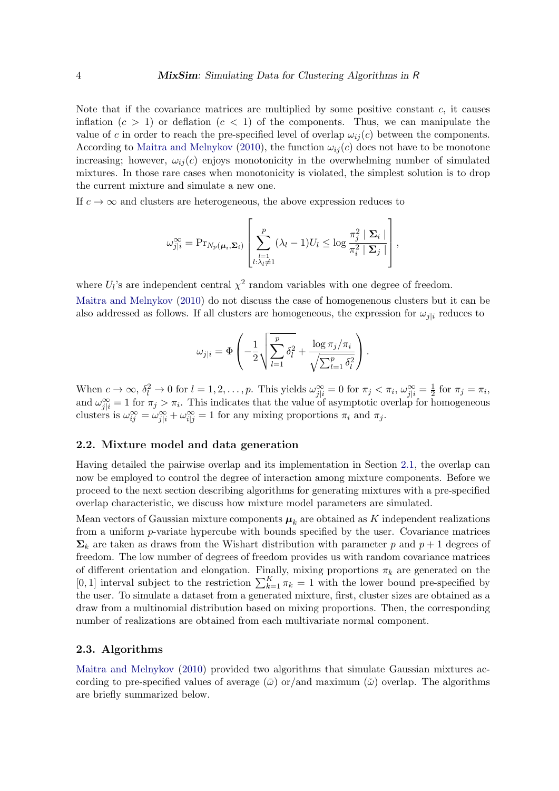Note that if the covariance matrices are multiplied by some positive constant  $c$ , it causes inflation  $(c > 1)$  or deflation  $(c < 1)$  of the components. Thus, we can manipulate the value of c in order to reach the pre-specified level of overlap  $\omega_{ij}(c)$  between the components. According to [Maitra and Melnykov](#page-22-3) [\(2010\)](#page-22-3), the function  $\omega_{ij}(c)$  does not have to be monotone increasing; however,  $\omega_{ii}(c)$  enjoys monotonicity in the overwhelming number of simulated mixtures. In those rare cases when monotonicity is violated, the simplest solution is to drop the current mixture and simulate a new one.

If  $c \to \infty$  and clusters are heterogeneous, the above expression reduces to

$$
\omega_{j|i}^{\infty} = \mathrm{Pr}_{N_p(\boldsymbol{\mu}_i, \boldsymbol{\Sigma}_i)} \left[ \sum_{\substack{l=1 \ l:\lambda_l \neq 1}}^p (\lambda_l - 1) U_l \leq \log \frac{\pi_j^2 \mid \boldsymbol{\Sigma}_i \mid}{\pi_i^2 \mid \boldsymbol{\Sigma}_j \mid} \right],
$$

where  $U_l$ 's are independent central  $\chi^2$  random variables with one degree of freedom.

[Maitra and Melnykov](#page-22-3) [\(2010\)](#page-22-3) do not discuss the case of homogenenous clusters but it can be also addressed as follows. If all clusters are homogeneous, the expression for  $\omega_{j|i}$  reduces to

$$
\omega_{j|i} = \Phi\left(-\frac{1}{2}\sqrt{\sum_{l=1}^p \delta_l^2 + \frac{\log \pi_j/\pi_i}{\sqrt{\sum_{l=1}^p \delta_l^2}}}\right).
$$

When  $c \to \infty$ ,  $\delta_l^2 \to 0$  for  $l = 1, 2, \ldots, p$ . This yields  $\omega_{j|i}^{\infty} = 0$  for  $\pi_j < \pi_i$ ,  $\omega_{j|i}^{\infty} = \frac{1}{2}$  $\frac{1}{2}$  for  $\pi_j = \pi_i$ , and  $\omega_{j|i}^{\infty} = 1$  for  $\pi_j > \pi_i$ . This indicates that the value of asymptotic overlap for homogeneous clusters is  $\omega_{ij}^{\infty} = \omega_{j|i}^{\infty} + \omega_{i|j}^{\infty} = 1$  for any mixing proportions  $\pi_i$  and  $\pi_j$ .

#### <span id="page-3-0"></span>2.2. Mixture model and data generation

Having detailed the pairwise overlap and its implementation in Section [2.1,](#page-2-1) the overlap can now be employed to control the degree of interaction among mixture components. Before we proceed to the next section describing algorithms for generating mixtures with a pre-specified overlap characteristic, we discuss how mixture model parameters are simulated.

Mean vectors of Gaussian mixture components  $\mu_k$  are obtained as K independent realizations from a uniform p-variate hypercube with bounds specified by the user. Covariance matrices  $\Sigma_k$  are taken as draws from the Wishart distribution with parameter p and  $p+1$  degrees of freedom. The low number of degrees of freedom provides us with random covariance matrices of different orientation and elongation. Finally, mixing proportions  $\pi_k$  are generated on the [0, 1] interval subject to the restriction  $\sum_{k=1}^{K} \pi_k = 1$  with the lower bound pre-specified by the user. To simulate a dataset from a generated mixture, first, cluster sizes are obtained as a draw from a multinomial distribution based on mixing proportions. Then, the corresponding number of realizations are obtained from each multivariate normal component.

#### <span id="page-3-1"></span>2.3. Algorithms

[Maitra and Melnykov](#page-22-3) [\(2010\)](#page-22-3) provided two algorithms that simulate Gaussian mixtures according to pre-specified values of average  $(\bar{\omega})$  or/and maximum  $(\check{\omega})$  overlap. The algorithms are briefly summarized below.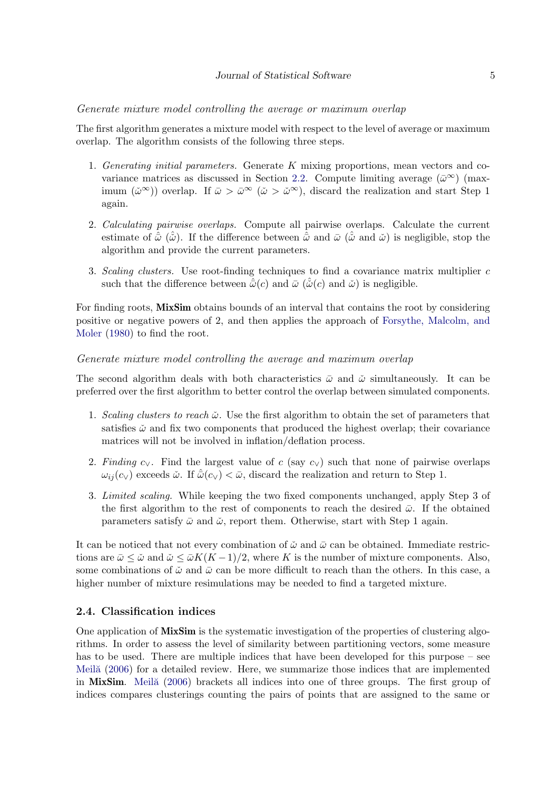#### Generate mixture model controlling the average or maximum overlap

The first algorithm generates a mixture model with respect to the level of average or maximum overlap. The algorithm consists of the following three steps.

- 1. Generating initial parameters. Generate K mixing proportions, mean vectors and co-variance matrices as discussed in Section [2.2.](#page-3-0) Compute limiting average  $(\bar{\omega}^{\infty})$  (maximum  $(\check{\omega}^{\infty})$  overlap. If  $\bar{\omega} > \bar{\omega}^{\infty}$   $(\check{\omega} > \check{\omega}^{\infty})$ , discard the realization and start Step 1 again.
- 2. Calculating pairwise overlaps. Compute all pairwise overlaps. Calculate the current estimate of  $\hat{\omega}$  ( $\hat{\omega}$ ). If the difference between  $\hat{\omega}$  and  $\bar{\omega}$  ( $\hat{\omega}$  and  $\tilde{\omega}$ ) is negligible, stop the algorithm and provide the current parameters.
- 3. Scaling clusters. Use root-finding techniques to find a covariance matrix multiplier c such that the difference between  $\hat{\bar{\omega}}(c)$  and  $\bar{\omega}(\hat{\omega}(c))$  and  $\tilde{\omega}(\omega)$  is negligible.

For finding roots, **MixSim** obtains bounds of an interval that contains the root by considering positive or negative powers of 2, and then applies the approach of [Forsythe, Malcolm, and](#page-22-6) [Moler](#page-22-6) [\(1980\)](#page-22-6) to find the root.

#### Generate mixture model controlling the average and maximum overlap

The second algorithm deals with both characteristics  $\bar{\omega}$  and  $\check{\omega}$  simultaneously. It can be preferred over the first algorithm to better control the overlap between simulated components.

- 1. Scaling clusters to reach  $\tilde{\omega}$ . Use the first algorithm to obtain the set of parameters that satisfies  $\ddot{\omega}$  and fix two components that produced the highest overlap; their covariance matrices will not be involved in inflation/deflation process.
- 2. Finding  $c_V$ . Find the largest value of c (say  $c_V$ ) such that none of pairwise overlaps  $\omega_{ii}(c_{\vee})$  exceeds  $\check{\omega}$ . If  $\hat{\bar{\omega}}(c_{\vee}) < \bar{\omega}$ , discard the realization and return to Step 1.
- 3. Limited scaling. While keeping the two fixed components unchanged, apply Step 3 of the first algorithm to the rest of components to reach the desired  $\bar{\omega}$ . If the obtained parameters satisfy  $\bar{\omega}$  and  $\dot{\omega}$ , report them. Otherwise, start with Step 1 again.

It can be noticed that not every combination of  $\tilde{\omega}$  and  $\bar{\omega}$  can be obtained. Immediate restrictions are  $\bar{\omega} \leq \tilde{\omega}$  and  $\tilde{\omega} \leq \bar{\omega} K(K-1)/2$ , where K is the number of mixture components. Also, some combinations of  $\ddot{\omega}$  and  $\bar{\omega}$  can be more difficult to reach than the others. In this case, a higher number of mixture resimulations may be needed to find a targeted mixture.

#### <span id="page-4-0"></span>2.4. Classification indices

One application of MixSim is the systematic investigation of the properties of clustering algorithms. In order to assess the level of similarity between partitioning vectors, some measure has to be used. There are multiple indices that have been developed for this purpose – see Meil<sub> $\tilde{a}$ </sub> [\(2006\)](#page-23-10) for a detailed review. Here, we summarize those indices that are implemented in MixSim. Meila [\(2006\)](#page-23-10) brackets all indices into one of three groups. The first group of indices compares clusterings counting the pairs of points that are assigned to the same or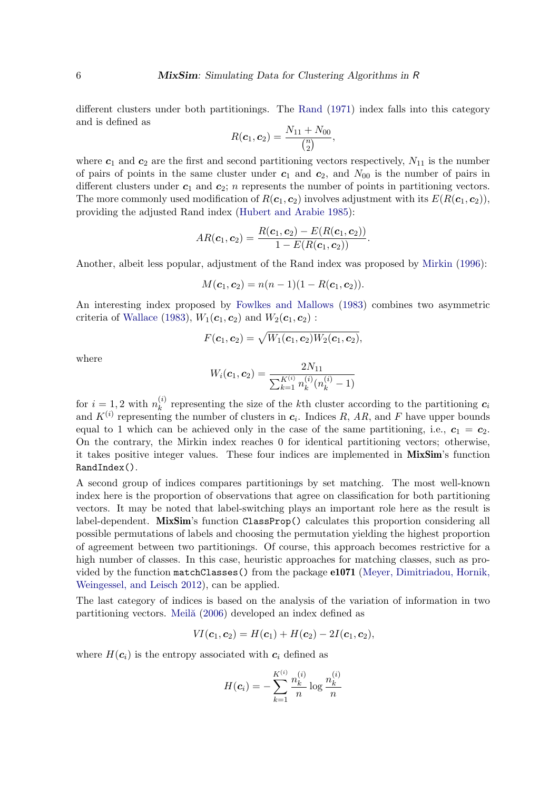different clusters under both partitionings. The [Rand](#page-23-11) [\(1971\)](#page-23-11) index falls into this category and is defined as

$$
R(c_1, c_2) = \frac{N_{11} + N_{00}}{\binom{n}{2}},
$$

where  $c_1$  and  $c_2$  are the first and second partitioning vectors respectively,  $N_{11}$  is the number of pairs of points in the same cluster under  $c_1$  and  $c_2$ , and  $N_{00}$  is the number of pairs in different clusters under  $c_1$  and  $c_2$ ; n represents the number of points in partitioning vectors. The more commonly used modification of  $R(c_1, c_2)$  involves adjustment with its  $E(R(c_1, c_2))$ , providing the adjusted Rand index [\(Hubert and Arabie](#page-22-7) [1985\)](#page-22-7):

$$
AR(\boldsymbol{c}_1, \boldsymbol{c}_2) = \frac{R(\boldsymbol{c}_1, \boldsymbol{c}_2) - E(R(\boldsymbol{c}_1, \boldsymbol{c}_2))}{1 - E(R(\boldsymbol{c}_1, \boldsymbol{c}_2))}.
$$

Another, albeit less popular, adjustment of the Rand index was proposed by [Mirkin](#page-23-12) [\(1996\)](#page-23-12):

$$
M(c_1, c_2) = n(n-1)(1 - R(c_1, c_2)).
$$

An interesting index proposed by [Fowlkes and Mallows](#page-22-8) [\(1983\)](#page-22-8) combines two asymmetric criteria of [Wallace](#page-23-13) [\(1983\)](#page-23-13),  $W_1(\boldsymbol{c}_1, \boldsymbol{c}_2)$  and  $W_2(\boldsymbol{c}_1, \boldsymbol{c}_2)$ :

$$
F(\bm{c}_1, \bm{c}_2) = \sqrt{W_1(\bm{c}_1, \bm{c}_2)W_2(\bm{c}_1, \bm{c}_2)},
$$

where

$$
W_i(\mathbf{c}_1, \mathbf{c}_2) = \frac{2N_{11}}{\sum_{k=1}^{K^{(i)}} n_k^{(i)}(n_k^{(i)} - 1)}
$$

for  $i = 1, 2$  with  $n_k^{(i)}$  $k<sup>(t)</sup>$  representing the size of the k<sup>th</sup> cluster according to the partitioning  $c<sub>i</sub>$ and  $K^{(i)}$  representing the number of clusters in  $c_i$ . Indices R, AR, and F have upper bounds equal to 1 which can be achieved only in the case of the same partitioning, i.e.,  $c_1 = c_2$ . On the contrary, the Mirkin index reaches 0 for identical partitioning vectors; otherwise, it takes positive integer values. These four indices are implemented in MixSim's function RandIndex().

A second group of indices compares partitionings by set matching. The most well-known index here is the proportion of observations that agree on classification for both partitioning vectors. It may be noted that label-switching plays an important role here as the result is label-dependent. MixSim's function ClassProp() calculates this proportion considering all possible permutations of labels and choosing the permutation yielding the highest proportion of agreement between two partitionings. Of course, this approach becomes restrictive for a high number of classes. In this case, heuristic approaches for matching classes, such as provided by the function matchClasses() from the package e1071 [\(Meyer, Dimitriadou, Hornik,](#page-23-14) [Weingessel, and Leisch](#page-23-14) [2012\)](#page-23-14), can be applied.

The last category of indices is based on the analysis of the variation of information in two partitioning vectors. Meilă [\(2006\)](#page-23-10) developed an index defined as

$$
VI(\mathbf{c}_1, \mathbf{c}_2) = H(\mathbf{c}_1) + H(\mathbf{c}_2) - 2I(\mathbf{c}_1, \mathbf{c}_2),
$$

where  $H(c_i)$  is the entropy associated with  $c_i$  defined as

$$
H(c_i) = -\sum_{k=1}^{K^{(i)}} \frac{n_k^{(i)}}{n} \log \frac{n_k^{(i)}}{n}
$$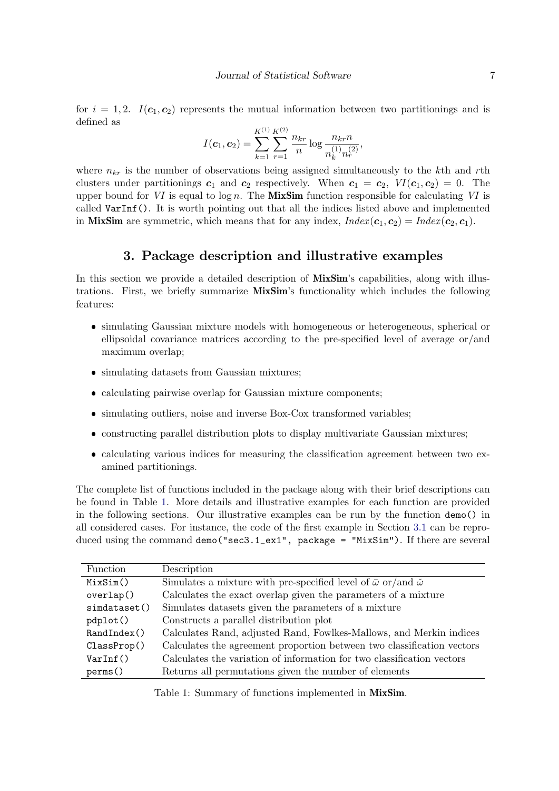for  $i = 1, 2$ .  $I(c_1, c_2)$  represents the mutual information between two partitionings and is defined as

$$
I(\boldsymbol{c}_1, \boldsymbol{c}_2) = \sum_{k=1}^{K^{(1)}} \sum_{r=1}^{K^{(2)}} \frac{n_{kr}}{n} \log \frac{n_{kr}n}{n_k^{(1)} n_r^{(2)}},
$$

where  $n_{kr}$  is the number of observations being assigned simultaneously to the kth and rth clusters under partitionings  $c_1$  and  $c_2$  respectively. When  $c_1 = c_2$ ,  $VI(c_1, c_2) = 0$ . The upper bound for VI is equal to  $\log n$ . The MixSim function responsible for calculating VI is called VarInf(). It is worth pointing out that all the indices listed above and implemented in **MixSim** are symmetric, which means that for any index,  $Index(c_1, c_2) = Index(c_2, c_1)$ .

# 3. Package description and illustrative examples

<span id="page-6-0"></span>In this section we provide a detailed description of **MixSim**'s capabilities, along with illustrations. First, we briefly summarize MixSim's functionality which includes the following features:

- simulating Gaussian mixture models with homogeneous or heterogeneous, spherical or ellipsoidal covariance matrices according to the pre-specified level of average or/and maximum overlap;
- simulating datasets from Gaussian mixtures;
- calculating pairwise overlap for Gaussian mixture components;
- simulating outliers, noise and inverse Box-Cox transformed variables;
- constructing parallel distribution plots to display multivariate Gaussian mixtures;
- calculating various indices for measuring the classification agreement between two examined partitionings.

The complete list of functions included in the package along with their brief descriptions can be found in Table [1.](#page-6-1) More details and illustrative examples for each function are provided in the following sections. Our illustrative examples can be run by the function demo() in all considered cases. For instance, the code of the first example in Section [3.1](#page-7-0) can be reproduced using the command demo("sec3.1\_ex1", package = "MixSim"). If there are several

| Function     | Description                                                                            |
|--------------|----------------------------------------------------------------------------------------|
| MixSim()     | Simulates a mixture with pre-specified level of $\bar{\omega}$ or/and $\tilde{\omega}$ |
| overlap()    | Calculates the exact overlap given the parameters of a mixture                         |
| simdataset() | Simulates datasets given the parameters of a mixture                                   |
| pdplot()     | Constructs a parallel distribution plot                                                |
| RandIndex()  | Calculates Rand, adjusted Rand, Fowlkes-Mallows, and Merkin indices                    |
| ClassProp()  | Calculates the agreement proportion between two classification vectors                 |
| VarInf()     | Calculates the variation of information for two classification vectors                 |
| perms()      | Returns all permutations given the number of elements                                  |
|              |                                                                                        |

<span id="page-6-1"></span>Table 1: Summary of functions implemented in MixSim.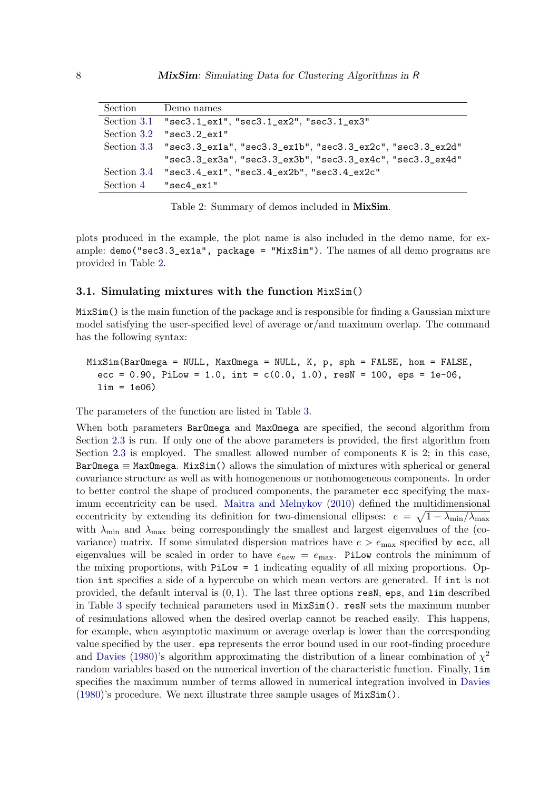| Section | Demo names                                                                       |
|---------|----------------------------------------------------------------------------------|
|         | Section 3.1 "sec3.1_ex1", "sec3.1_ex2", "sec3.1_ex3"                             |
|         | Section $3.2$ "sec3.2 ex1"                                                       |
|         | $Section 3.3$ $"sec3.3\_ex1a", "sec3.3\_ex1b", "sec3.3\_ex2c", "sec3.3\_ex2d"$   |
|         | $"sec3.3\_ex3a", "sec3.3\_ex3b", "sec3.3\_ex4c", "sec3.3\_ex4d"$                 |
|         | Section $3.4$ "sec $3.4$ _ex $1$ ", "sec $3.4$ _ex $2b$ ", "sec $3.4$ _ex $2c$ " |
|         | Section $4$ "sec $4$ <sub>-ex1</sub> "                                           |

<span id="page-7-1"></span>Table 2: Summary of demos included in MixSim.

plots produced in the example, the plot name is also included in the demo name, for example: demo("sec3.3\_ex1a", package = "MixSim"). The names of all demo programs are provided in Table [2.](#page-7-1)

#### <span id="page-7-0"></span>3.1. Simulating mixtures with the function MixSim()

MixSim() is the main function of the package and is responsible for finding a Gaussian mixture model satisfying the user-specified level of average or/and maximum overlap. The command has the following syntax:

# MixSim(BarOmega = NULL, MaxOmega = NULL, K, p, sph = FALSE, hom = FALSE, ecc =  $0.90$ , PiLow = 1.0, int =  $c(0.0, 1.0)$ , resN = 100, eps = 1e-06,  $\lim = 1e06$ )

The parameters of the function are listed in Table [3.](#page-8-0)

When both parameters BarOmega and MaxOmega are specified, the second algorithm from Section [2.3](#page-3-1) is run. If only one of the above parameters is provided, the first algorithm from Section [2.3](#page-3-1) is employed. The smallest allowed number of components K is 2; in this case, BarOmega  $\equiv$  MaxOmega. MixSim() allows the simulation of mixtures with spherical or general covariance structure as well as with homogenenous or nonhomogeneous components. In order to better control the shape of produced components, the parameter ecc specifying the maximum eccentricity can be used. [Maitra and Melnykov](#page-22-3) [\(2010\)](#page-22-3) defined the multidimensional eccentricity by extending its definition for two-dimensional ellipses:  $e = \sqrt{1 - \lambda_{\min}/\lambda_{\max}}$ with  $\lambda_{\min}$  and  $\lambda_{\max}$  being correspondingly the smallest and largest eigenvalues of the (covariance) matrix. If some simulated dispersion matrices have  $e > e_{\text{max}}$  specified by ecc, all eigenvalues will be scaled in order to have  $e_{\text{new}} = e_{\text{max}}$ . PiLow controls the minimum of the mixing proportions, with PiLow = 1 indicating equality of all mixing proportions. Option int specifies a side of a hypercube on which mean vectors are generated. If int is not provided, the default interval is  $(0, 1)$ . The last three options resN, eps, and  $\lim$  described in Table [3](#page-8-0) specify technical parameters used in MixSim(). resN sets the maximum number of resimulations allowed when the desired overlap cannot be reached easily. This happens, for example, when asymptotic maximum or average overlap is lower than the corresponding value specified by the user. eps represents the error bound used in our root-finding procedure and [Davies](#page-22-5) [\(1980\)](#page-22-5)'s algorithm approximating the distribution of a linear combination of  $\chi^2$ random variables based on the numerical invertion of the characteristic function. Finally, lim specifies the maximum number of terms allowed in numerical integration involved in [Davies](#page-22-5) [\(1980\)](#page-22-5)'s procedure. We next illustrate three sample usages of MixSim().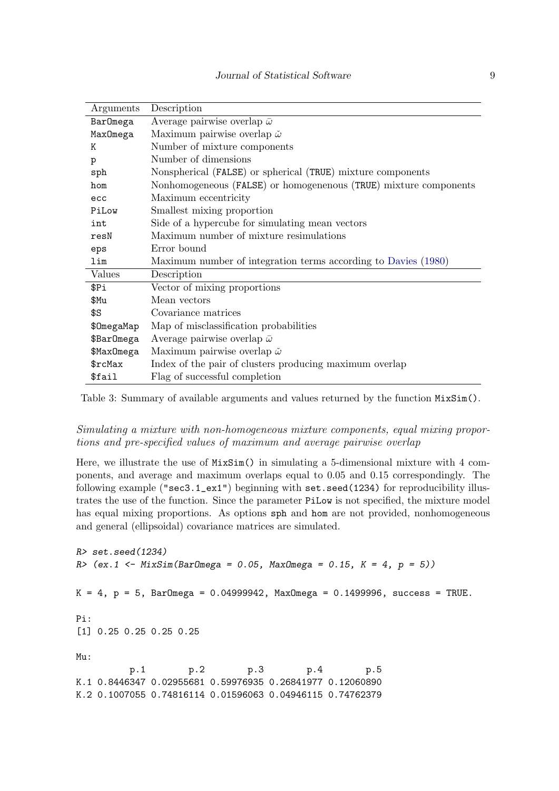| Arguments  | Description                                                      |
|------------|------------------------------------------------------------------|
| BarOmega   | Average pairwise overlap $\bar{\omega}$                          |
| MaxOmega   | Maximum pairwise overlap $\check{\omega}$                        |
| K          | Number of mixture components                                     |
| р          | Number of dimensions                                             |
| sph        | Nonspherical (FALSE) or spherical (TRUE) mixture components      |
| hom        | Nonhomogeneous (FALSE) or homogenenous (TRUE) mixture components |
| ecc        | Maximum eccentricity                                             |
| PiLow      | Smallest mixing proportion                                       |
| int        | Side of a hypercube for simulating mean vectors                  |
| resN       | Maximum number of mixture resimulations                          |
| eps        | Error bound                                                      |
| lim        | Maximum number of integration terms according to Davies (1980)   |
| Values     | Description                                                      |
| \$Pi       | Vector of mixing proportions                                     |
| \$Mu       | Mean vectors                                                     |
| \$S        | Covariance matrices                                              |
| \$OmegaMap | Map of misclassification probabilities                           |
| \$BarOmega | Average pairwise overlap $\bar{\omega}$                          |
| \$MaxOmega | Maximum pairwise overlap $\check{\omega}$                        |
| \$rcl/ax   | Index of the pair of clusters producing maximum overlap          |
| \$fail     | Flag of successful completion                                    |

<span id="page-8-0"></span>Table 3: Summary of available arguments and values returned by the function MixSim().

Simulating a mixture with non-homogeneous mixture components, equal mixing proportions and pre-specified values of maximum and average pairwise overlap

Here, we illustrate the use of MixSim() in simulating a 5-dimensional mixture with 4 components, and average and maximum overlaps equal to 0.05 and 0.15 correspondingly. The following example ("sec3.1\_ex1") beginning with set.seed(1234) for reproducibility illustrates the use of the function. Since the parameter PiLow is not specified, the mixture model has equal mixing proportions. As options sph and hom are not provided, nonhomogeneous and general (ellipsoidal) covariance matrices are simulated.

```
R> set.seed(1234)
R (ex.1 <- MixSim(BarOmega = 0.05, MaxOmega = 0.15, K = 4, p = 5))
K = 4, p = 5, BarOmega = 0.04999942, MaxOmega = 0.1499996, success = TRUE.
Pi:
[1] 0.25 0.25 0.25 0.25
Mu:
         p.1 p.2 p.3 p.4 p.5
K.1 0.8446347 0.02955681 0.59976935 0.26841977 0.12060890
K.2 0.1007055 0.74816114 0.01596063 0.04946115 0.74762379
```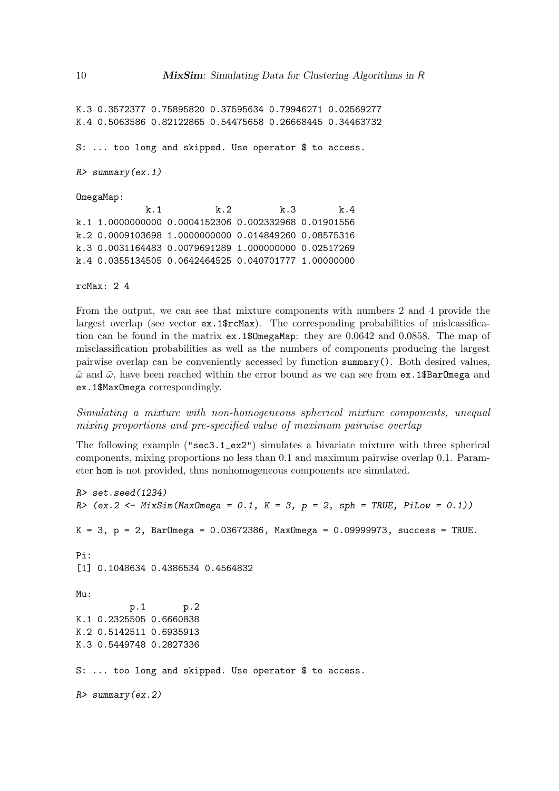K.3 0.3572377 0.75895820 0.37595634 0.79946271 0.02569277 K.4 0.5063586 0.82122865 0.54475658 0.26668445 0.34463732

S: ... too long and skipped. Use operator \$ to access.

```
R> summary(ex.1)
```
OmegaMap:

k.1 k.2 k.3 k.4 k.1 1.0000000000 0.0004152306 0.002332968 0.01901556 k.2 0.0009103698 1.0000000000 0.014849260 0.08575316 k.3 0.0031164483 0.0079691289 1.000000000 0.02517269 k.4 0.0355134505 0.0642464525 0.040701777 1.00000000

rcMax: 2 4

From the output, we can see that mixture components with numbers 2 and 4 provide the largest overlap (see vector ex.1\$rcMax). The corresponding probabilities of mislcassification can be found in the matrix ex.1\$OmegaMap: they are 0.0642 and 0.0858. The map of misclassification probabilities as well as the numbers of components producing the largest pairwise overlap can be conveniently accessed by function summary(). Both desired values,  $\tilde{\omega}$  and  $\bar{\omega}$ , have been reached within the error bound as we can see from ex.1\$BarOmega and ex.1\$MaxOmega correspondingly.

# Simulating a mixture with non-homogeneous spherical mixture components, unequal mixing proportions and pre-specified value of maximum pairwise overlap

The following example ("sec3.1\_ex2") simulates a bivariate mixture with three spherical components, mixing proportions no less than 0.1 and maximum pairwise overlap 0.1. Parameter hom is not provided, thus nonhomogeneous components are simulated.

```
R> set.seed(1234)
R (ex.2 <- MixSim(MaxOmega = 0.1, K = 3, p = 2, sph = TRUE, PiLow = 0.1))
K = 3, p = 2, BarOmega = 0.03672386, MaxOmega = 0.09999973, success = TRUE.
Pi:
[1] 0.1048634 0.4386534 0.4564832
Mu:
         p.1 p.2
K.1 0.2325505 0.6660838
K.2 0.5142511 0.6935913
K.3 0.5449748 0.2827336
S: ... too long and skipped. Use operator $ to access.
R> summary(ex.2)
```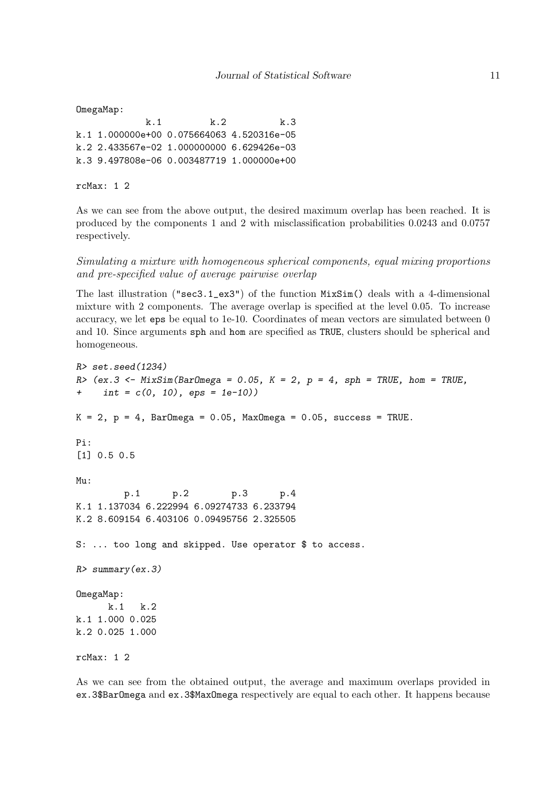```
OmegaMap:
            k.1 k.2 k.3
k.1 1.000000e+00 0.075664063 4.520316e-05
k.2 2.433567e-02 1.000000000 6.629426e-03
k.3 9.497808e-06 0.003487719 1.000000e+00
```
rcMax: 1 2

As we can see from the above output, the desired maximum overlap has been reached. It is produced by the components 1 and 2 with misclassification probabilities 0.0243 and 0.0757 respectively.

Simulating a mixture with homogeneous spherical components, equal mixing proportions and pre-specified value of average pairwise overlap

The last illustration ("sec3.1\_ex3") of the function MixSim() deals with a 4-dimensional mixture with 2 components. The average overlap is specified at the level 0.05. To increase accuracy, we let eps be equal to 1e-10. Coordinates of mean vectors are simulated between 0 and 10. Since arguments sph and hom are specified as TRUE, clusters should be spherical and homogeneous.

```
R> set.seed(1234)
R> (ex.3 \leq MixSim(BarOmega = 0.05, K = 2, p = 4, sph = TRUE, hom = TRUE,+ int = c(0, 10), eps = 1e-10))
K = 2, p = 4, BarOmega = 0.05, MaxOmega = 0.05, success = TRUE.
Pi:
[1] 0.5 0.5
Mu:
        p.1 p.2 p.3 p.4
K.1 1.137034 6.222994 6.09274733 6.233794
K.2 8.609154 6.403106 0.09495756 2.325505
S: ... too long and skipped. Use operator $ to access.
R> summary(ex.3)
OmegaMap:
      k.1 k.2
k.1 1.000 0.025
k.2 0.025 1.000
rcMax: 1 2
```
As we can see from the obtained output, the average and maximum overlaps provided in ex.3\$BarOmega and ex.3\$MaxOmega respectively are equal to each other. It happens because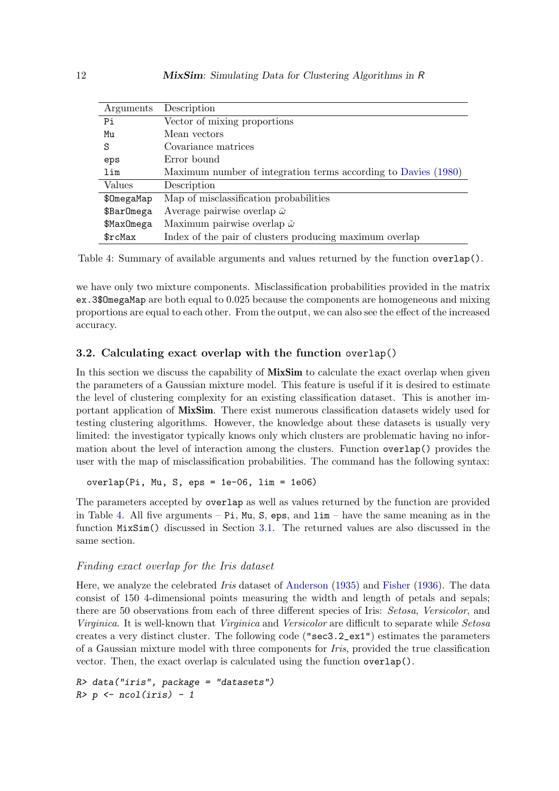| Arguments  | Description                                                    |
|------------|----------------------------------------------------------------|
| Pi         | Vector of mixing proportions                                   |
| Mu         | Mean vectors                                                   |
| S          | Covariance matrices                                            |
| eps        | Error bound                                                    |
| lim        | Maximum number of integration terms according to Davies (1980) |
| Values     | Description                                                    |
| \$0megaMap | Map of misclassification probabilities                         |
| \$BarOmega | Average pairwise overlap $\bar{\omega}$                        |
| \$MaxOmega | Maximum pairwise overlap $\check{\omega}$                      |
| \$rcl/ax   | Index of the pair of clusters producing maximum overlap        |

<span id="page-11-1"></span>Table 4: Summary of available arguments and values returned by the function overlap().

we have only two mixture components. Misclassification probabilities provided in the matrix ex.3\$OmegaMap are both equal to 0.025 because the components are homogeneous and mixing proportions are equal to each other. From the output, we can also see the effect of the increased accuracy.

#### <span id="page-11-0"></span>3.2. Calculating exact overlap with the function overlap()

In this section we discuss the capability of **MixSim** to calculate the exact overlap when given the parameters of a Gaussian mixture model. This feature is useful if it is desired to estimate the level of clustering complexity for an existing classification dataset. This is another important application of MixSim. There exist numerous classification datasets widely used for testing clustering algorithms. However, the knowledge about these datasets is usually very limited: the investigator typically knows only which clusters are problematic having no information about the level of interaction among the clusters. Function overlap() provides the user with the map of misclassification probabilities. The command has the following syntax:

overlap(Pi, Mu, S, eps = 1e-06, lim = 1e06)

The parameters accepted by overlap as well as values returned by the function are provided in Table [4.](#page-11-1) All five arguments –  $Pi$ , Mu, S, eps, and  $lim$  – have the same meaning as in the function MixSim() discussed in Section [3.1.](#page-7-0) The returned values are also discussed in the same section.

#### Finding exact overlap for the Iris dataset

Here, we analyze the celebrated Iris dataset of [Anderson](#page-22-9) [\(1935\)](#page-22-9) and [Fisher](#page-22-10) [\(1936\)](#page-22-10). The data consist of 150 4-dimensional points measuring the width and length of petals and sepals; there are 50 observations from each of three different species of Iris: Setosa, Versicolor, and Virginica. It is well-known that Virginica and Versicolor are difficult to separate while Setosa creates a very distinct cluster. The following code ("sec3.2\_ex1") estimates the parameters of a Gaussian mixture model with three components for Iris, provided the true classification vector. Then, the exact overlap is calculated using the function overlap().

```
R> data("iris", package = "datasets")
R> p <- ncol(iris) - 1
```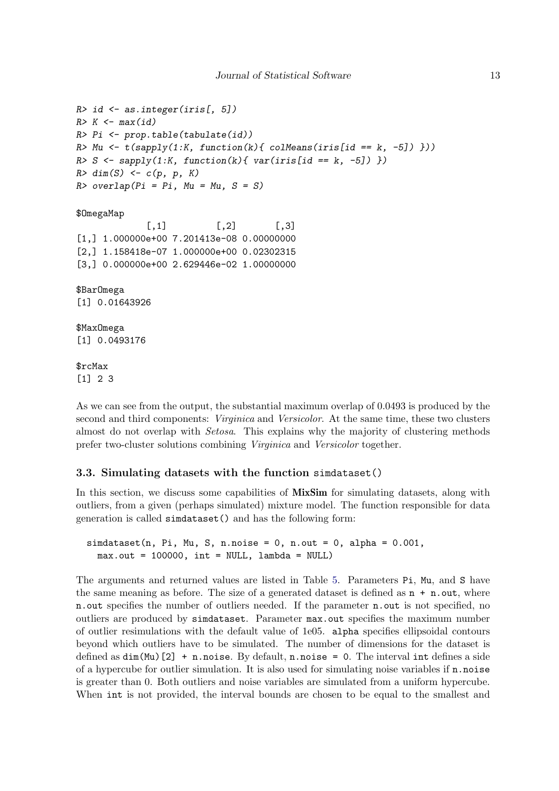```
R> id \leftarrow as. integer(iris[, 5])
R > K \leftarrow max(id)R> Pi <- prop.table(tabulate(id))
R> Mu \leftarrow t (sapply(1:K, function(k){ colMeans(iris[id == k, -5]) }))
R > S \leftarrow \text{supply}(1:K, function(k) \{ \text{var}(iris[id == k, -5]) \} )R > dim(S) \leftarrow c(p, p, K)R> overlap(Pi = Pi, Mu = Mu, S = S)
$OmegaMap
               \lceil,1] \lceil,2] \lceil,3]
[1,] 1.000000e+00 7.201413e-08 0.00000000
[2,] 1.158418e-07 1.000000e+00 0.02302315
[3,] 0.000000e+00 2.629446e-02 1.00000000
$BarOmega
[1] 0.01643926
$MaxOmega
[1] 0.0493176
```
\$rcMax [1] 2 3

As we can see from the output, the substantial maximum overlap of 0.0493 is produced by the second and third components: *Virginica* and *Versicolor*. At the same time, these two clusters almost do not overlap with Setosa. This explains why the majority of clustering methods prefer two-cluster solutions combining Virginica and Versicolor together.

#### <span id="page-12-0"></span>3.3. Simulating datasets with the function simdataset()

In this section, we discuss some capabilities of **MixSim** for simulating datasets, along with outliers, from a given (perhaps simulated) mixture model. The function responsible for data generation is called simdataset() and has the following form:

 $simdataset(n, Pi, Mu, S, n.noise = 0, n.out = 0, alpha = 0.001,$  $max.out = 100000$ ,  $int = NULL$ ,  $lambda = NULL$ 

The arguments and returned values are listed in Table [5.](#page-13-0) Parameters Pi, Mu, and S have the same meaning as before. The size of a generated dataset is defined as  $n + n$  out, where n.out specifies the number of outliers needed. If the parameter n.out is not specified, no outliers are produced by simdataset. Parameter max.out specifies the maximum number of outlier resimulations with the default value of 1e05. alpha specifies ellipsoidal contours beyond which outliers have to be simulated. The number of dimensions for the dataset is defined as  $dim(Mu)$ [2] + n.noise. By default, n.noise = 0. The interval int defines a side of a hypercube for outlier simulation. It is also used for simulating noise variables if  $n.noise$ is greater than 0. Both outliers and noise variables are simulated from a uniform hypercube. When int is not provided, the interval bounds are chosen to be equal to the smallest and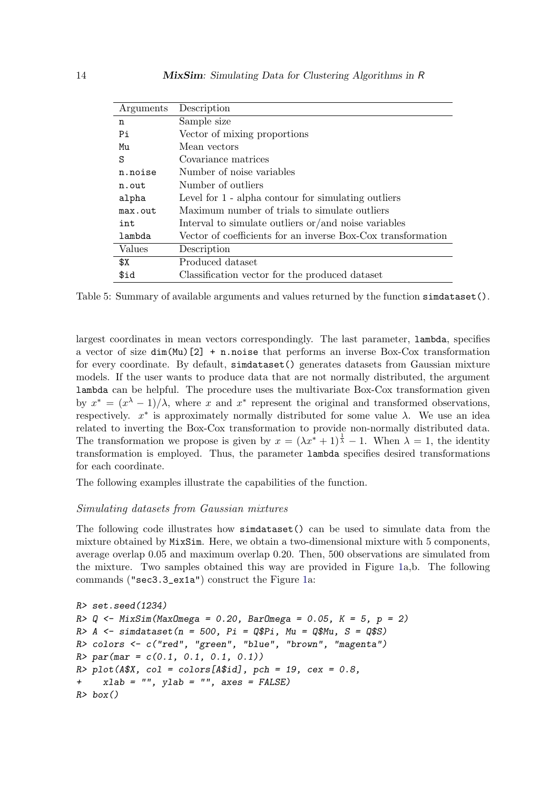| Arguments | Description                                                  |
|-----------|--------------------------------------------------------------|
| n         | Sample size                                                  |
| Pi        | Vector of mixing proportions                                 |
| Mu        | Mean vectors                                                 |
| S         | Covariance matrices                                          |
| n.noise   | Number of noise variables                                    |
| n.out     | Number of outliers                                           |
| alpha     | Level for 1 - alpha contour for simulating outliers          |
| max.out   | Maximum number of trials to simulate outliers                |
| int       | Interval to simulate outliers or/and noise variables         |
| lambda    | Vector of coefficients for an inverse Box-Cox transformation |
| Values    | Description                                                  |
| \$X       | Produced dataset                                             |
| \$id      | Classification vector for the produced dataset               |

<span id="page-13-0"></span>Table 5: Summary of available arguments and values returned by the function simulateset().

largest coordinates in mean vectors correspondingly. The last parameter, lambda, specifies a vector of size  $dim(Mu)[2] + n.noise$  that performs an inverse Box-Cox transformation for every coordinate. By default, simdataset() generates datasets from Gaussian mixture models. If the user wants to produce data that are not normally distributed, the argument lambda can be helpful. The procedure uses the multivariate Box-Cox transformation given by  $x^* = (x^{\lambda} - 1)/\lambda$ , where x and  $x^*$  represent the original and transformed observations, respectively.  $x^*$  is approximately normally distributed for some value  $\lambda$ . We use an idea related to inverting the Box-Cox transformation to provide non-normally distributed data. The transformation we propose is given by  $x = (\lambda x^* + 1)^{\frac{1}{\lambda}} - 1$ . When  $\lambda = 1$ , the identity transformation is employed. Thus, the parameter lambda specifies desired transformations for each coordinate.

The following examples illustrate the capabilities of the function.

# Simulating datasets from Gaussian mixtures

The following code illustrates how simdataset() can be used to simulate data from the mixture obtained by MixSim. Here, we obtain a two-dimensional mixture with 5 components, average overlap 0.05 and maximum overlap 0.20. Then, 500 observations are simulated from the mixture. Two samples obtained this way are provided in Figure [1a](#page-14-0),b. The following commands ("sec3.3\_ex1a") construct the Figure [1a](#page-14-0):

```
R> set.seed(1234)
R > Q \leq MixSim(MaxOmega) = 0.20, BarOmega = 0.05, K = 5, p = 2)
R > A <- simdataset(n = 500, Pi = Q$Pi, Mu = Q$Mu, S = Q$S)
R> colors <- c("red", "green", "blue", "brown", "magenta")
R > par(max = c(0.1, 0.1, 0.1, 0.1))R> plot(A$X, col = colors[A$id], pch = 19, cex = 0.8,
+ xlab = "", ylab = "", axes = FALSE)
R> box()
```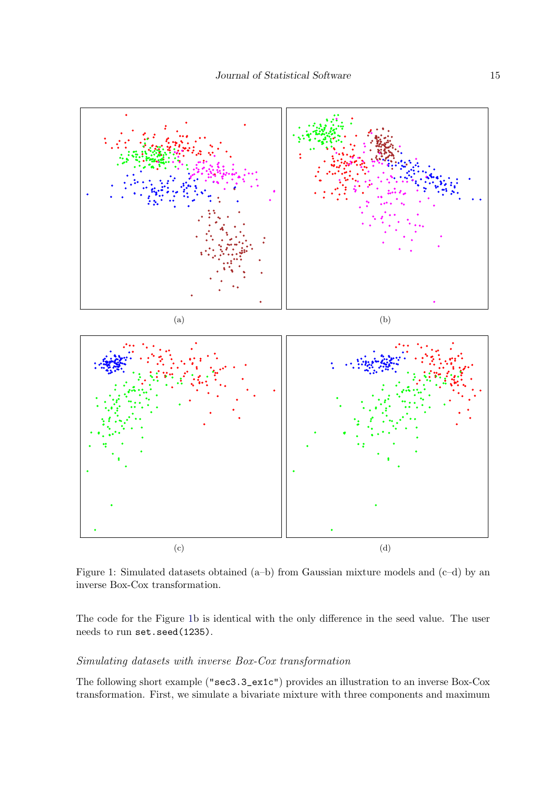

<span id="page-14-0"></span>Figure 1: Simulated datasets obtained (a–b) from Gaussian mixture models and (c–d) by an inverse Box-Cox transformation.

The code for the Figure [1b](#page-14-0) is identical with the only difference in the seed value. The user needs to run set.seed(1235).

#### Simulating datasets with inverse Box-Cox transformation

The following short example ("sec3.3\_ex1c") provides an illustration to an inverse Box-Cox transformation. First, we simulate a bivariate mixture with three components and maximum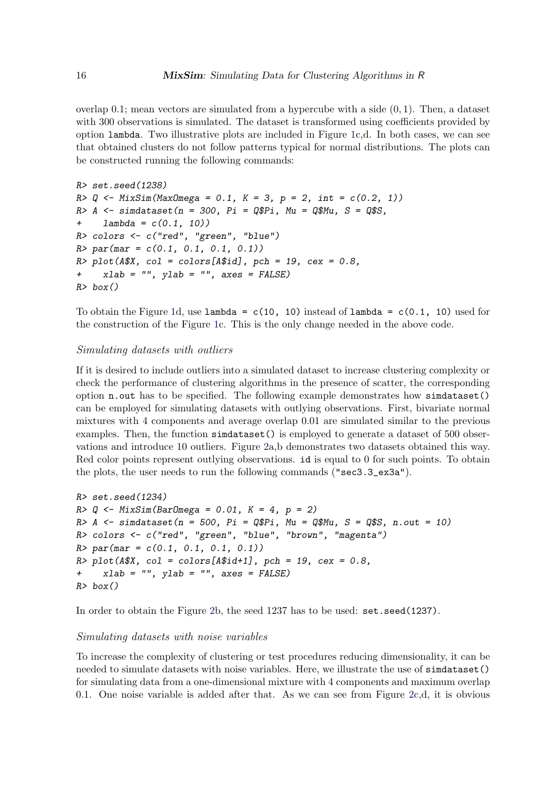overlap  $0.1$ ; mean vectors are simulated from a hypercube with a side  $(0, 1)$ . Then, a dataset with 300 observations is simulated. The dataset is transformed using coefficients provided by option lambda. Two illustrative plots are included in Figure [1c](#page-14-0),d. In both cases, we can see that obtained clusters do not follow patterns typical for normal distributions. The plots can be constructed running the following commands:

```
R> set.seed(1238)
R > Q \leftarrow \text{MixSim}(\text{MaxOmega} = 0.1, K = 3, p = 2, int = c(0.2, 1))R > A <- simdataset(n = 300, Pi = Q$Pi, Mu = Q$Mu, S = Q$S,
+ lambda = c(0.1, 10)R> colors <- c("red", "green", "blue")
R > par(max = c(0.1, 0.1, 0.1, 0.1))R> plot(A$X, col = colors[A$id], pch = 19, cex = 0.8,
+ xlab = "", ylab = "", axes = FALSE)
R> box()
```
To obtain the Figure [1d](#page-14-0), use  $lambda = c(10, 10)$  instead of  $lambda = c(0.1, 10)$  used for the construction of the Figure [1c](#page-14-0). This is the only change needed in the above code.

#### Simulating datasets with outliers

If it is desired to include outliers into a simulated dataset to increase clustering complexity or check the performance of clustering algorithms in the presence of scatter, the corresponding option n.out has to be specified. The following example demonstrates how simdataset() can be employed for simulating datasets with outlying observations. First, bivariate normal mixtures with 4 components and average overlap 0.01 are simulated similar to the previous examples. Then, the function simulataset () is employed to generate a dataset of 500 observations and introduce 10 outliers. Figure [2a](#page-16-0),b demonstrates two datasets obtained this way. Red color points represent outlying observations. id is equal to 0 for such points. To obtain the plots, the user needs to run the following commands ("sec3.3\_ex3a").

```
R> set.seed(1234)
R > Q \leq MixSim(BarOmega = 0.01, K = 4, p = 2)R>A \leftarrow \text{simdataset}(n = 500, \text{Pi} = \text{Q$P1}, \text{Mu} = \text{Q$M1}, \text{S} = \text{Q$S}, \text{ n.out} = 10)R> colors <- c("red", "green", "blue", "brown", "magenta")
R > par(max = c(0.1, 0.1, 0.1, 0.1))R> plot(A$X, col = colors[A$id+1], pch = 19, cex = 0.8,
+ xlab = "", ylab = "", axes = FALSE)
R> box()
```
In order to obtain the Figure [2b](#page-16-0), the seed 1237 has to be used: set.seed(1237).

#### Simulating datasets with noise variables

To increase the complexity of clustering or test procedures reducing dimensionality, it can be needed to simulate datasets with noise variables. Here, we illustrate the use of simdataset() for simulating data from a one-dimensional mixture with 4 components and maximum overlap 0.1. One noise variable is added after that. As we can see from Figure [2c](#page-16-0),d, it is obvious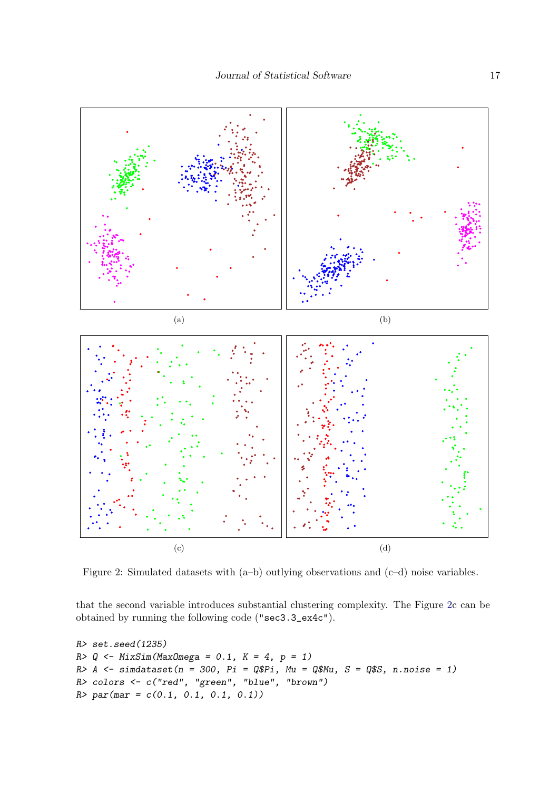

<span id="page-16-0"></span>Figure 2: Simulated datasets with (a–b) outlying observations and (c–d) noise variables.

that the second variable introduces substantial clustering complexity. The Figure [2c](#page-16-0) can be obtained by running the following code ("sec3.3\_ex4c").

```
R> set.seed(1235)
R > Q \leftarrow MixSim(MaxOmega = 0.1, K = 4, p = 1)R > A \leq simdataset(n = 300, Pi = Q$Pi, Mu = Q$Mu, S = Q$S, n.noise = 1)
R> colors <- c("red", "green", "blue", "brown")
R > par(max = c(0.1, 0.1, 0.1, 0.1))
```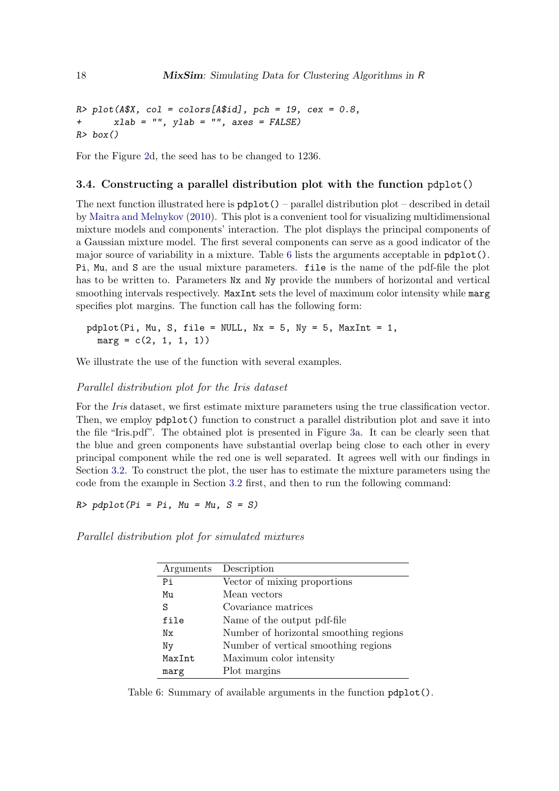```
R> plot(A$X, col = colors[A$id], pch = 19, cex = 0.8,
+ xlab = "", ylab = "", axes = FALSE)
R> box()
```
For the Figure [2d](#page-16-0), the seed has to be changed to 1236.

#### <span id="page-17-0"></span>3.4. Constructing a parallel distribution plot with the function pdplot()

The next function illustrated here is  $pdplot()$  – parallel distribution plot – described in detail by [Maitra and Melnykov](#page-22-3) [\(2010\)](#page-22-3). This plot is a convenient tool for visualizing multidimensional mixture models and components' interaction. The plot displays the principal components of a Gaussian mixture model. The first several components can serve as a good indicator of the major source of variability in a mixture. Table [6](#page-17-1) lists the arguments acceptable in pdplot(). Pi, Mu, and S are the usual mixture parameters. file is the name of the pdf-file the plot has to be written to. Parameters  $Nx$  and  $Ny$  provide the numbers of horizontal and vertical smoothing intervals respectively. MaxInt sets the level of maximum color intensity while marg specifies plot margins. The function call has the following form:

 $pdplot(Pi, Mu, S, file = NULL, Nx = 5, Ny = 5, MaxInt = 1,$  $marg = c(2, 1, 1, 1))$ 

We illustrate the use of the function with several examples.

#### Parallel distribution plot for the Iris dataset

For the *Iris* dataset, we first estimate mixture parameters using the true classification vector. Then, we employ pdplot() function to construct a parallel distribution plot and save it into the file "Iris.pdf". The obtained plot is presented in Figure [3a](#page-18-0). It can be clearly seen that the blue and green components have substantial overlap being close to each other in every principal component while the red one is well separated. It agrees well with our findings in Section [3.2.](#page-11-0) To construct the plot, the user has to estimate the mixture parameters using the code from the example in Section [3.2](#page-11-0) first, and then to run the following command:

 $R$ > pdplot(Pi = Pi, Mu = Mu, S = S)

Parallel distribution plot for simulated mixtures

| Arguments | Description                            |
|-----------|----------------------------------------|
| Pi        | Vector of mixing proportions           |
| Mu        | Mean vectors                           |
| S         | Covariance matrices                    |
| file      | Name of the output pdf-file            |
| Nх        | Number of horizontal smoothing regions |
| Ny        | Number of vertical smoothing regions   |
| MaxInt    | Maximum color intensity                |
| marg      | Plot margins                           |

<span id="page-17-1"></span>Table 6: Summary of available arguments in the function pdplot().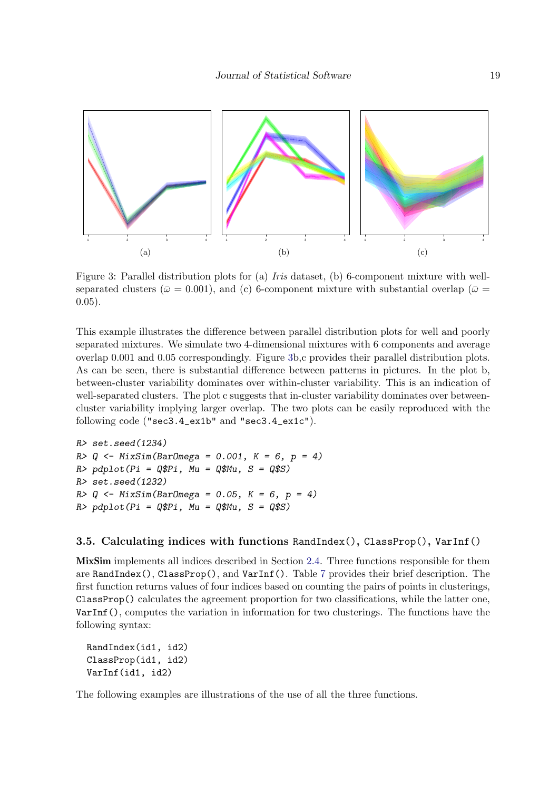

<span id="page-18-0"></span>Figure 3: Parallel distribution plots for (a) *Iris* dataset, (b) 6-component mixture with wellseparated clusters ( $\bar{\omega} = 0.001$ ), and (c) 6-component mixture with substantial overlap ( $\bar{\omega} =$ 0.05).

This example illustrates the difference between parallel distribution plots for well and poorly separated mixtures. We simulate two 4-dimensional mixtures with 6 components and average overlap 0.001 and 0.05 correspondingly. Figure [3b](#page-18-0),c provides their parallel distribution plots. As can be seen, there is substantial difference between patterns in pictures. In the plot b, between-cluster variability dominates over within-cluster variability. This is an indication of well-separated clusters. The plot c suggests that in-cluster variability dominates over betweencluster variability implying larger overlap. The two plots can be easily reproduced with the following code ("sec3.4\_ex1b" and "sec3.4\_ex1c").

```
R> set.seed(1234)
R > Q \leq - MixSim(BarOmega = 0.001, K = 6, p = 4)R> pdplot(Pi = Q$Pi, Mu = Q$Mu, S = Q$S)
R> set.seed(1232)
R > Q \leq MixSim(BarOmega = 0.05, K = 6, p = 4)R> pdplot(Pi = Q$Pi, Mu = Q$Mu, S = Q$S)
```
# 3.5. Calculating indices with functions RandIndex(), ClassProp(), VarInf()

MixSim implements all indices described in Section [2.4.](#page-4-0) Three functions responsible for them are RandIndex(), ClassProp(), and VarInf(). Table [7](#page-19-0) provides their brief description. The first function returns values of four indices based on counting the pairs of points in clusterings, ClassProp() calculates the agreement proportion for two classifications, while the latter one, VarInf(), computes the variation in information for two clusterings. The functions have the following syntax:

```
RandIndex(id1, id2)
ClassProp(id1, id2)
VarInf(id1, id2)
```
The following examples are illustrations of the use of all the three functions.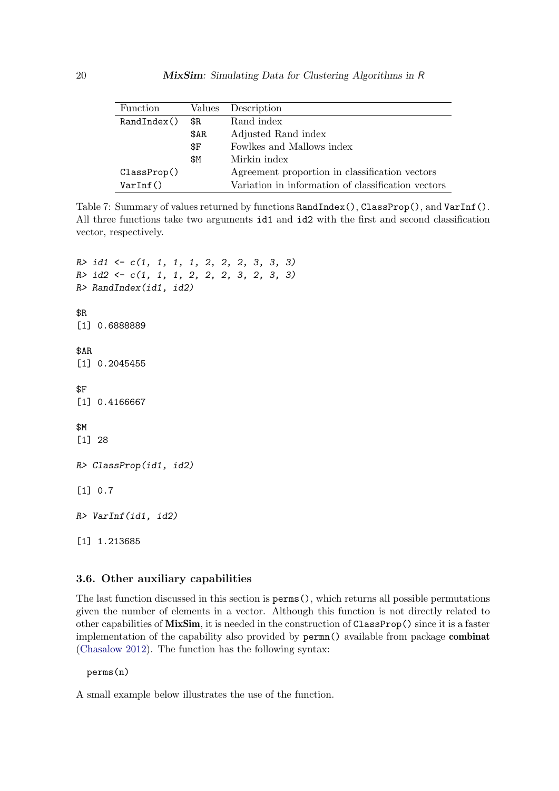| <b>Function</b> |       | Values Description                                 |
|-----------------|-------|----------------------------------------------------|
| Random(x)       | \$R   | Rand index                                         |
|                 | \$AR  | Adjusted Rand index                                |
|                 | \$F\$ | Fowlkes and Mallows index                          |
|                 | \$Μ   | Mirkin index                                       |
| ClassProp()     |       | Agreement proportion in classification vectors     |
| VarInf()        |       | Variation in information of classification vectors |

<span id="page-19-0"></span>Table 7: Summary of values returned by functions RandIndex(), ClassProp(), and VarInf(). All three functions take two arguments id1 and id2 with the first and second classification vector, respectively.

R> id1 <- c(1, 1, 1, 1, 2, 2, 2, 3, 3, 3) R> id2 <- c(1, 1, 1, 2, 2, 2, 3, 2, 3, 3) R> RandIndex(id1, id2) \$R [1] 0.6888889 \$AR [1] 0.2045455 \$F [1] 0.4166667 \$M [1] 28 R> ClassProp(id1, id2) [1] 0.7 R> VarInf(id1, id2)

[1] 1.213685

#### 3.6. Other auxiliary capabilities

The last function discussed in this section is perms(), which returns all possible permutations given the number of elements in a vector. Although this function is not directly related to other capabilities of MixSim, it is needed in the construction of ClassProp() since it is a faster implementation of the capability also provided by permn() available from package combinat [\(Chasalow](#page-22-11) [2012\)](#page-22-11). The function has the following syntax:

perms(n)

A small example below illustrates the use of the function.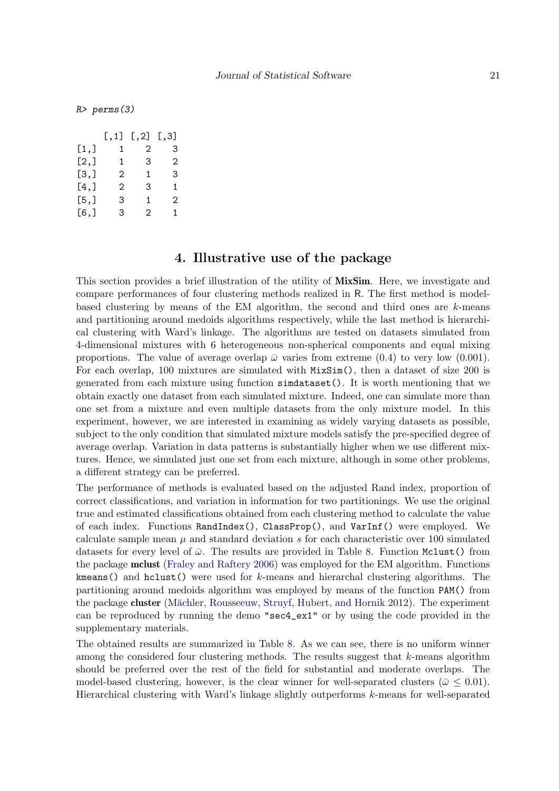R> perms(3)

|      | $[$ $, 1]$ | $\left[ \begin{array}{c} 2 \end{array} \right]$ | $\left[ .3 \right]$ |
|------|------------|-------------------------------------------------|---------------------|
| [1,] | 1          | 2                                               | 3                   |
| [2,] | 1          | 3                                               | 2                   |
| [3,] | 2          | 1                                               | З                   |
| [4,] | 2          | 3                                               | 1                   |
| [5,] | З          | 1                                               | 2                   |
| [6,] | 3          | 2                                               | 1                   |

# 4. Illustrative use of the package

<span id="page-20-0"></span>This section provides a brief illustration of the utility of **MixSim**. Here, we investigate and compare performances of four clustering methods realized in R. The first method is modelbased clustering by means of the EM algorithm, the second and third ones are  $k$ -means and partitioning around medoids algorithms respectively, while the last method is hierarchical clustering with Ward's linkage. The algorithms are tested on datasets simulated from 4-dimensional mixtures with 6 heterogeneous non-spherical components and equal mixing proportions. The value of average overlap  $\bar{\omega}$  varies from extreme (0.4) to very low (0.001). For each overlap, 100 mixtures are simulated with MixSim(), then a dataset of size 200 is generated from each mixture using function simdataset(). It is worth mentioning that we obtain exactly one dataset from each simulated mixture. Indeed, one can simulate more than one set from a mixture and even multiple datasets from the only mixture model. In this experiment, however, we are interested in examining as widely varying datasets as possible, subject to the only condition that simulated mixture models satisfy the pre-specified degree of average overlap. Variation in data patterns is substantially higher when we use different mixtures. Hence, we simulated just one set from each mixture, although in some other problems, a different strategy can be preferred.

The performance of methods is evaluated based on the adjusted Rand index, proportion of correct classifications, and variation in information for two partitionings. We use the original true and estimated classifications obtained from each clustering method to calculate the value of each index. Functions RandIndex(), ClassProp(), and VarInf() were employed. We calculate sample mean  $\mu$  and standard deviation s for each characteristic over 100 simulated datasets for every level of  $\bar{\omega}$ . The results are provided in Table [8.](#page-21-1) Function Mclust() from the package mclust [\(Fraley and Raftery](#page-22-12) [2006\)](#page-22-12) was employed for the EM algorithm. Functions kmeans() and hclust() were used for k-means and hierarchal clustering algorithms. The partitioning around medoids algorithm was employed by means of the function PAM() from the package cluster (Mächler, Rousseeuw, Struyf, Hubert, and Hornik [2012\)](#page-22-13). The experiment can be reproduced by running the demo "sec4\_ex1" or by using the code provided in the supplementary materials.

The obtained results are summarized in Table [8.](#page-21-1) As we can see, there is no uniform winner among the considered four clustering methods. The results suggest that  $k$ -means algorithm should be preferred over the rest of the field for substantial and moderate overlaps. The model-based clustering, however, is the clear winner for well-separated clusters ( $\bar{\omega} \leq 0.01$ ). Hierarchical clustering with Ward's linkage slightly outperforms k-means for well-separated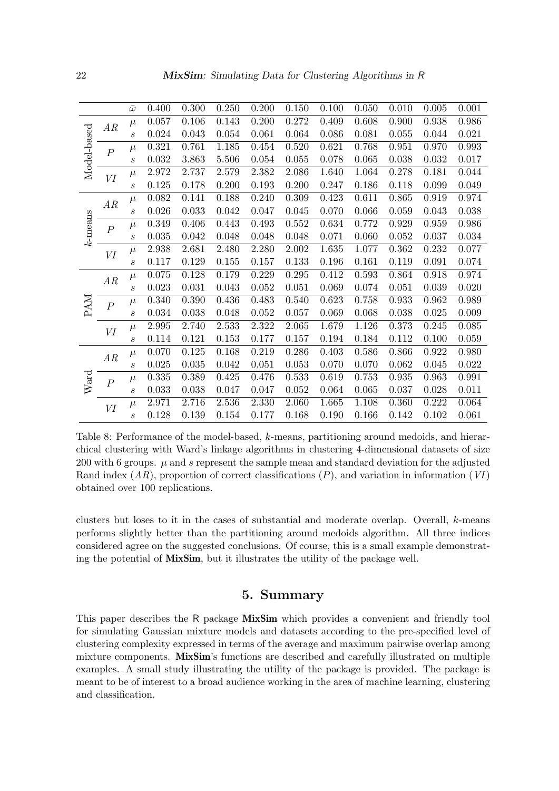|                   |                  | $\bar{\omega}$              | 0.400     | 0.300 | 0.250 | 0.200 | 0.150 | 0.100 | 0.050 | 0.010 | 0.005 | 0.001 |
|-------------------|------------------|-----------------------------|-----------|-------|-------|-------|-------|-------|-------|-------|-------|-------|
| AR<br>Model-based |                  | $\mu$                       | 0.057     | 0.106 | 0.143 | 0.200 | 0.272 | 0.409 | 0.608 | 0.900 | 0.938 | 0.986 |
|                   |                  | $\boldsymbol{s}$            | 0.024     | 0.043 | 0.054 | 0.061 | 0.064 | 0.086 | 0.081 | 0.055 | 0.044 | 0.021 |
|                   | $\boldsymbol{P}$ | $\mu$                       | 0.321     | 0.761 | 1.185 | 0.454 | 0.520 | 0.621 | 0.768 | 0.951 | 0.970 | 0.993 |
|                   |                  | $\boldsymbol{s}$            | 0.032     | 3.863 | 5.506 | 0.054 | 0.055 | 0.078 | 0.065 | 0.038 | 0.032 | 0.017 |
|                   | VI               | $\mu$                       | 2.972     | 2.737 | 2.579 | 2.382 | 2.086 | 1.640 | 1.064 | 0.278 | 0.181 | 0.044 |
|                   |                  | $\boldsymbol{s}$            | 0.125     | 0.178 | 0.200 | 0.193 | 0.200 | 0.247 | 0.186 | 0.118 | 0.099 | 0.049 |
|                   | AR               | $\mu$                       | 0.082     | 0.141 | 0.188 | 0.240 | 0.309 | 0.423 | 0.611 | 0.865 | 0.919 | 0.974 |
|                   |                  | $\boldsymbol{s}$            | 0.026     | 0.033 | 0.042 | 0.047 | 0.045 | 0.070 | 0.066 | 0.059 | 0.043 | 0.038 |
| k-means           | $\boldsymbol{P}$ | $\mu$                       | 0.349     | 0.406 | 0.443 | 0.493 | 0.552 | 0.634 | 0.772 | 0.929 | 0.959 | 0.986 |
|                   |                  | $\boldsymbol{s}$            | 0.035     | 0.042 | 0.048 | 0.048 | 0.048 | 0.071 | 0.060 | 0.052 | 0.037 | 0.034 |
|                   | VI               | $\mu$                       | 2.938     | 2.681 | 2.480 | 2.280 | 2.002 | 1.635 | 1.077 | 0.362 | 0.232 | 0.077 |
|                   |                  | $\boldsymbol{s}$            | 0.117     | 0.129 | 0.155 | 0.157 | 0.133 | 0.196 | 0.161 | 0.119 | 0.091 | 0.074 |
|                   | AR               | $\mu$                       | 0.075     | 0.128 | 0.179 | 0.229 | 0.295 | 0.412 | 0.593 | 0.864 | 0.918 | 0.974 |
|                   |                  | $\mathcal{S}_{\mathcal{S}}$ | 0.023     | 0.031 | 0.043 | 0.052 | 0.051 | 0.069 | 0.074 | 0.051 | 0.039 | 0.020 |
| <b>PAM</b>        | $\overline{P}$   | $\mu$                       | 0.340     | 0.390 | 0.436 | 0.483 | 0.540 | 0.623 | 0.758 | 0.933 | 0.962 | 0.989 |
|                   |                  | $\boldsymbol{s}$            | 0.034     | 0.038 | 0.048 | 0.052 | 0.057 | 0.069 | 0.068 | 0.038 | 0.025 | 0.009 |
|                   | VI               | $\mu$                       | $2.995\,$ | 2.740 | 2.533 | 2.322 | 2.065 | 1.679 | 1.126 | 0.373 | 0.245 | 0.085 |
|                   |                  | $\boldsymbol{s}$            | 0.114     | 0.121 | 0.153 | 0.177 | 0.157 | 0.194 | 0.184 | 0.112 | 0.100 | 0.059 |
|                   | AR               | $\mu$                       | 0.070     | 0.125 | 0.168 | 0.219 | 0.286 | 0.403 | 0.586 | 0.866 | 0.922 | 0.980 |
| Ward              |                  | $\mathcal{S}_{0}$           | 0.025     | 0.035 | 0.042 | 0.051 | 0.053 | 0.070 | 0.070 | 0.062 | 0.045 | 0.022 |
|                   | $\boldsymbol{P}$ | $\mu$                       | 0.335     | 0.389 | 0.425 | 0.476 | 0.533 | 0.619 | 0.753 | 0.935 | 0.963 | 0.991 |
|                   |                  | $\boldsymbol{s}$            | 0.033     | 0.038 | 0.047 | 0.047 | 0.052 | 0.064 | 0.065 | 0.037 | 0.028 | 0.011 |
|                   | VI               | $\mu$                       | 2.971     | 2.716 | 2.536 | 2.330 | 2.060 | 1.665 | 1.108 | 0.360 | 0.222 | 0.064 |
|                   |                  | $\mathcal{S}_{\mathcal{S}}$ | 0.128     | 0.139 | 0.154 | 0.177 | 0.168 | 0.190 | 0.166 | 0.142 | 0.102 | 0.061 |

<span id="page-21-1"></span>Table 8: Performance of the model-based, k-means, partitioning around medoids, and hierarchical clustering with Ward's linkage algorithms in clustering 4-dimensional datasets of size 200 with 6 groups.  $\mu$  and s represent the sample mean and standard deviation for the adjusted Rand index  $(AR)$ , proportion of correct classifications  $(P)$ , and variation in information  $(VI)$ obtained over 100 replications.

clusters but loses to it in the cases of substantial and moderate overlap. Overall, k-means performs slightly better than the partitioning around medoids algorithm. All three indices considered agree on the suggested conclusions. Of course, this is a small example demonstrating the potential of MixSim, but it illustrates the utility of the package well.

# 5. Summary

<span id="page-21-0"></span>This paper describes the R package **MixSim** which provides a convenient and friendly tool for simulating Gaussian mixture models and datasets according to the pre-specified level of clustering complexity expressed in terms of the average and maximum pairwise overlap among mixture components. MixSim's functions are described and carefully illustrated on multiple examples. A small study illustrating the utility of the package is provided. The package is meant to be of interest to a broad audience working in the area of machine learning, clustering and classification.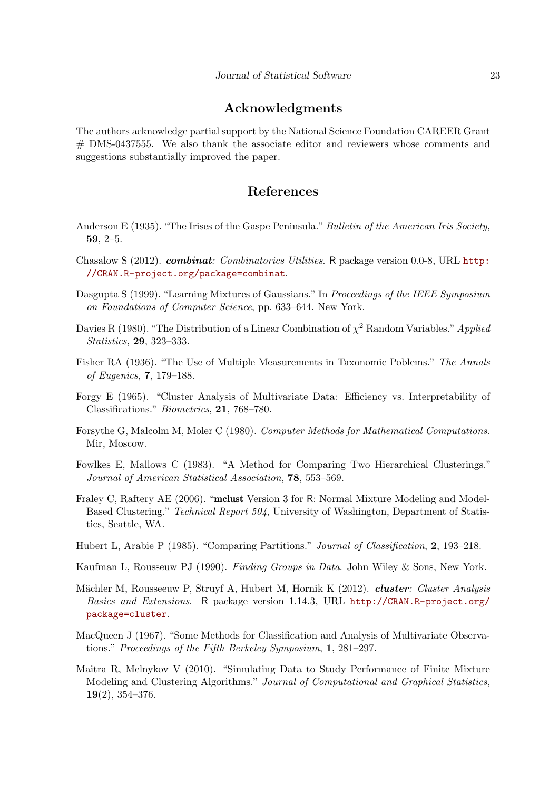# Acknowledgments

The authors acknowledge partial support by the National Science Foundation CAREER Grant # DMS-0437555. We also thank the associate editor and reviewers whose comments and suggestions substantially improved the paper.

# References

- <span id="page-22-9"></span>Anderson E (1935). "The Irises of the Gaspe Peninsula." *Bulletin of the American Iris Society*, 59, 2–5.
- <span id="page-22-11"></span>Chasalow S (2012). *combinat: Combinatorics Utilities*. R package version 0.0-8, URL [http:](http://CRAN.R-project.org/package=combinat) [//CRAN.R-project.org/package=combinat](http://CRAN.R-project.org/package=combinat).
- <span id="page-22-4"></span>Dasgupta S (1999). "Learning Mixtures of Gaussians." In Proceedings of the IEEE Symposium on Foundations of Computer Science, pp. 633–644. New York.
- <span id="page-22-5"></span>Davies R (1980). "The Distribution of a Linear Combination of  $\chi^2$  Random Variables." Applied Statistics, 29, 323–333.
- <span id="page-22-10"></span>Fisher RA (1936). "The Use of Multiple Measurements in Taxonomic Poblems." The Annals of Eugenics, 7, 179–188.
- <span id="page-22-0"></span>Forgy E (1965). "Cluster Analysis of Multivariate Data: Efficiency vs. Interpretability of Classifications." Biometrics, 21, 768–780.
- <span id="page-22-6"></span>Forsythe G, Malcolm M, Moler C (1980). Computer Methods for Mathematical Computations. Mir, Moscow.
- <span id="page-22-8"></span>Fowlkes E, Mallows C (1983). "A Method for Comparing Two Hierarchical Clusterings." Journal of American Statistical Association, 78, 553–569.
- <span id="page-22-12"></span>Fraley C, Raftery AE (2006). "mclust Version 3 for R: Normal Mixture Modeling and Model-Based Clustering." Technical Report 504, University of Washington, Department of Statistics, Seattle, WA.
- <span id="page-22-7"></span>Hubert L, Arabie P (1985). "Comparing Partitions." Journal of Classification, 2, 193–218.
- <span id="page-22-2"></span>Kaufman L, Rousseuw PJ (1990). Finding Groups in Data. John Wiley & Sons, New York.
- <span id="page-22-13"></span>Mächler M, Rousseeuw P, Struyf A, Hubert M, Hornik K (2012). *cluster: Cluster Analysis* Basics and Extensions. R package version 1.14.3, URL [http://CRAN.R-project.org/](http://CRAN.R-project.org/package=cluster) [package=cluster](http://CRAN.R-project.org/package=cluster).
- <span id="page-22-1"></span>MacQueen J (1967). "Some Methods for Classification and Analysis of Multivariate Observations." Proceedings of the Fifth Berkeley Symposium, 1, 281–297.
- <span id="page-22-3"></span>Maitra R, Melnykov V (2010). "Simulating Data to Study Performance of Finite Mixture Modeling and Clustering Algorithms." Journal of Computational and Graphical Statistics, 19(2), 354–376.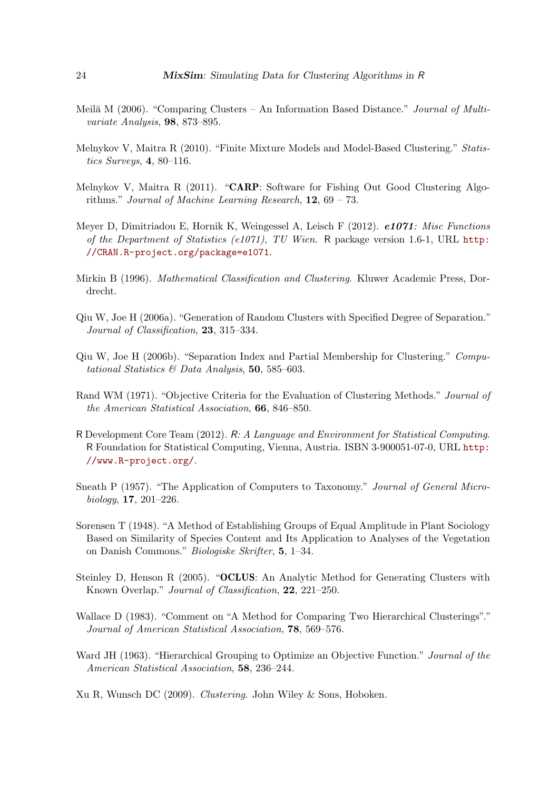- <span id="page-23-10"></span>Meil $\check{a}$  M (2006). "Comparing Clusters – An Information Based Distance." *Journal of Multi*variate Analysis, 98, 873–895.
- <span id="page-23-3"></span>Melnykov V, Maitra R (2010). "Finite Mixture Models and Model-Based Clustering." Statistics Surveys, 4, 80–116.
- <span id="page-23-9"></span>Melnykov V, Maitra R (2011). "CARP: Software for Fishing Out Good Clustering Algorithms." Journal of Machine Learning Research, 12, 69 – 73.
- <span id="page-23-14"></span>Meyer D, Dimitriadou E, Hornik K, Weingessel A, Leisch F (2012). e1071: Misc Functions of the Department of Statistics (e1071), TU Wien. R package version 1.6-1, URL [http:](http://CRAN.R-project.org/package=e1071) [//CRAN.R-project.org/package=e1071](http://CRAN.R-project.org/package=e1071).
- <span id="page-23-12"></span>Mirkin B (1996). Mathematical Classification and Clustering. Kluwer Academic Press, Dordrecht.
- <span id="page-23-7"></span>Qiu W, Joe H (2006a). "Generation of Random Clusters with Specified Degree of Separation." Journal of Classification, 23, 315–334.
- <span id="page-23-6"></span>Qiu W, Joe H (2006b). "Separation Index and Partial Membership for Clustering." Computational Statistics & Data Analysis, 50, 585-603.
- <span id="page-23-11"></span>Rand WM (1971). "Objective Criteria for the Evaluation of Clustering Methods." Journal of the American Statistical Association, 66, 846–850.
- <span id="page-23-8"></span>R Development Core Team (2012). R: A Language and Environment for Statistical Computing. R Foundation for Statistical Computing, Vienna, Austria. ISBN 3-900051-07-0, URL [http:](http://www.R-project.org/) [//www.R-project.org/](http://www.R-project.org/).
- <span id="page-23-1"></span>Sneath P (1957). "The Application of Computers to Taxonomy." Journal of General Microbiology, 17, 201–226.
- <span id="page-23-2"></span>Sorensen T (1948). "A Method of Establishing Groups of Equal Amplitude in Plant Sociology Based on Similarity of Species Content and Its Application to Analyses of the Vegetation on Danish Commons." Biologiske Skrifter, 5, 1–34.
- <span id="page-23-5"></span>Steinley D, Henson R (2005). "OCLUS: An Analytic Method for Generating Clusters with Known Overlap." Journal of Classification, 22, 221–250.
- <span id="page-23-13"></span>Wallace D (1983). "Comment on "A Method for Comparing Two Hierarchical Clusterings"." Journal of American Statistical Association, 78, 569–576.
- <span id="page-23-0"></span>Ward JH (1963). "Hierarchical Grouping to Optimize an Objective Function." *Journal of the* American Statistical Association, 58, 236–244.

<span id="page-23-4"></span>Xu R, Wunsch DC (2009). Clustering. John Wiley & Sons, Hoboken.